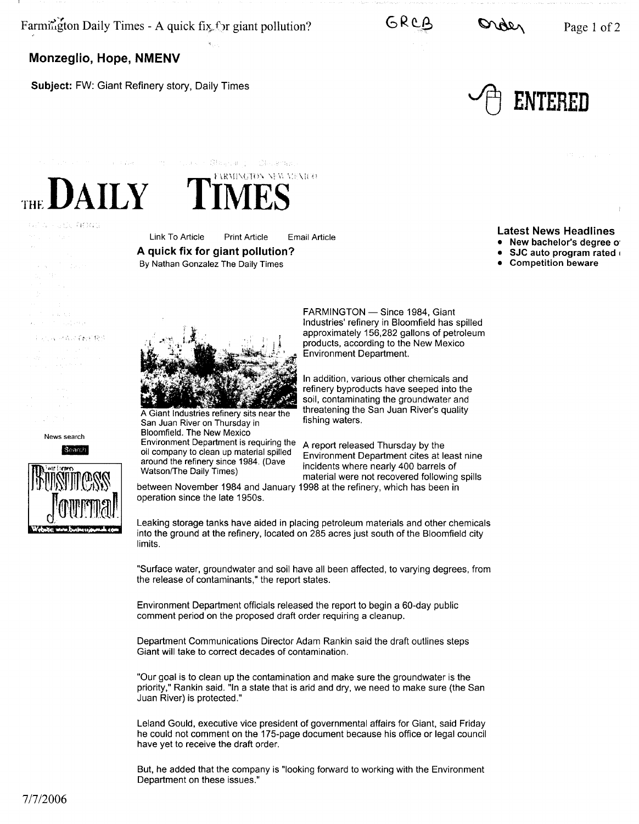Farmirigton Daily Times - A quick fix, for giant pollution?  $GRC\beta$   $Q\alpha_{\alpha}$  Page 1 of 2

**Monzeglio, Hope, NMENV** 

**Subject:** FW: Giant Refinery story, Daily Times

The Children



 $\mathbf i$ 



## THE DAILY TIMES"

A HUEL ABRID  $\mathcal{I}_{\mathcal{A},\mathcal{I}}$  $\rightarrow \pm$  .  $\sim 34-51.1$  $\mathcal{I}^{\mathcal{I}}(\mathcal{I})$  ,  $\mathcal{I}^{\mathcal{I}}_{\mathcal{I}}$  ,  $\mathcal{I}^{\mathcal{I}}_{\mathcal{I}}$  ,  $\mathcal{I}^{\mathcal{I}}_{\mathcal{I}}$ 

## 主动器 网络过程时代接收

News search

Search





Link To Article Print Article Email Article **A quick fix for giant pollution?** 

By Nathan Gonzalez The Daily Times

The course Strange Clearance

## **Latest News Headlines**

• **New bachelor's degree o·** 

• **SJC auto program rated** <sup>1</sup>

• **Competition beware** 



A Giant Industries refinery sits near the San Juan River on Thursday in Bloomfield. The New Mexico<br>Environment Department is requiring the

Environment Department is requiring the A report released Thursday by the oil company to clean up material spilled Environment Department cites at la

operation since the late 1950s.

FARMINGTON - Since 1984, Giant Industries' refinery in Bloomfield has spilled approximately 156,282 gallons of petroleum products, according to the New Mexico Environment Department.

In addition, various other chemicals and refinery byproducts have seeped into the soil, contaminating the groundwater and threatening the San Juan River's quality fishing waters.

of company to clean up material spilled Environment Department cites at least nine<br>around the refinery since 1984. (Dave in pidents where needy 400 homels of around the refinery since 1984. (Dave incidents where nearly 400 barrels of Watson/The Daily Times) material were not recovered following spills between November 1984 and January 1998 at the refinery, which has been in

Leaking storage tanks have aided in placing petroleum materials and other chemicals into the ground at the refinery, located on 285 acres just south of the Bloomfield city limits.

"Surface water, groundwater and soil have all been affected, to varying degrees, from the release of contaminants," the report states.

Environment Department officials released the report to begin a 60-day public comment period on the proposed draft order requiring a cleanup.

Department Communications Director Adam Rankin said the draft outlines steps Giant will take to correct decades of contamination.

"Our goal is to clean up the contamination and make sure the groundwater is the priority," Rankin said. "In a state that is arid and dry, we need to make sure (the San Juan River) is protected."

Leland Gould, executive vice president of governmental affairs for Giant, said Friday he could not comment on the 175-page document because his office or legal council have yet to receive the draft order.

But, he added that the company is "looking forward to working with the Environment Department on these issues."